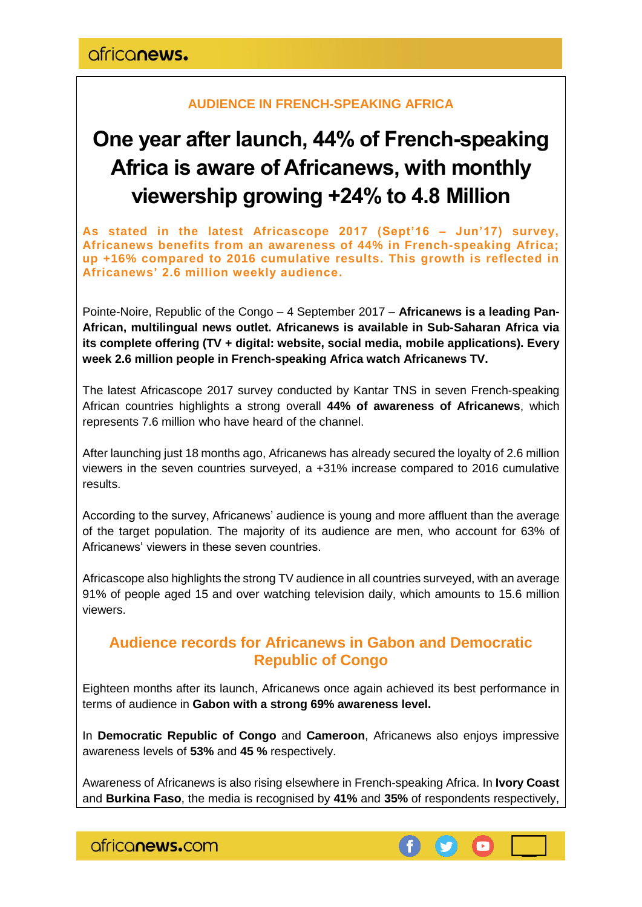#### **AUDIENCE IN FRENCH-SPEAKING AFRICA**

# **One year after launch, 44% of French-speaking Africa is aware of Africanews, with monthly viewership growing +24% to 4.8 Million**

**As stated in the latest Africascope 2017 (Sept'16 – Jun'17) survey, Africanews benefits from an awareness of 44% in French-speaking Africa; up +16% compared to 2016 cumulative results. This growth is reflected in Africanews' 2.6 million weekly audience.**

Pointe-Noire, Republic of the Congo – 4 September 2017 – **Africanews is a leading Pan-African, multilingual news outlet. Africanews is available in Sub-Saharan Africa via its complete offering (TV + digital: website, social media, mobile applications). Every week 2.6 million people in French-speaking Africa watch Africanews TV.**

The latest Africascope 2017 survey conducted by Kantar TNS in seven French-speaking African countries highlights a strong overall **44% of awareness of Africanews**, which represents 7.6 million who have heard of the channel.

After launching just 18 months ago, Africanews has already secured the loyalty of 2.6 million viewers in the seven countries surveyed, a +31% increase compared to 2016 cumulative results.

According to the survey, Africanews' audience is young and more affluent than the average of the target population. The majority of its audience are men, who account for 63% of Africanews' viewers in these seven countries.

Africascope also highlights the strong TV audience in all countries surveyed, with an average 91% of people aged 15 and over watching television daily, which amounts to 15.6 million viewers.

### **Audience records for Africanews in Gabon and Democratic Republic of Congo**

Eighteen months after its launch, Africanews once again achieved its best performance in terms of audience in **Gabon with a strong 69% awareness level.**

In **Democratic Republic of Congo** and **Cameroon**, Africanews also enjoys impressive awareness levels of **53%** and **45 %** respectively.

Awareness of Africanews is also rising elsewhere in French-speaking Africa. In **Ivory Coast** and **Burkina Faso**, the media is recognised by **41%** and **35%** of respondents respectively,

africanews.com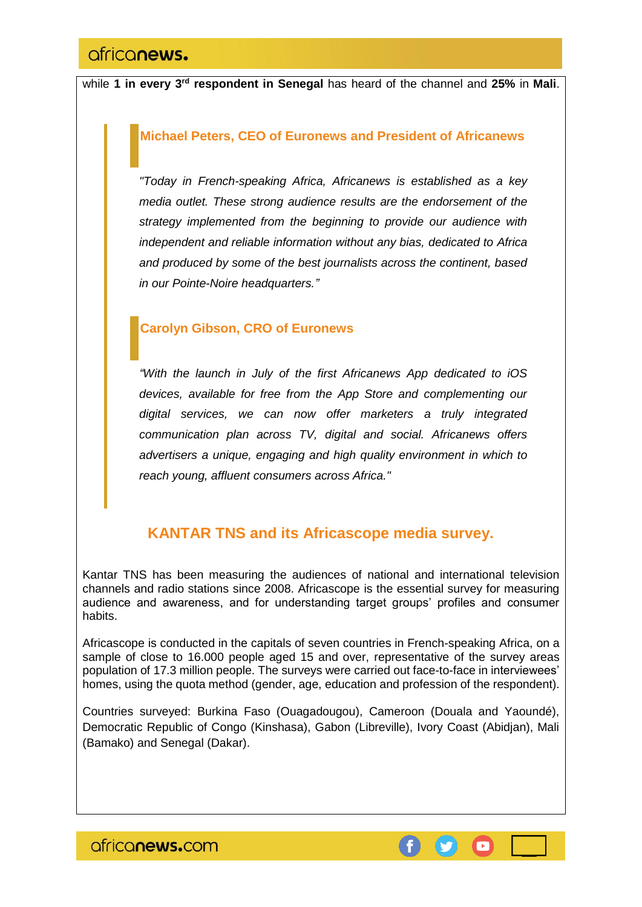while **1 in every 3rd respondent in Senegal** has heard of the channel and **25%** in **Mali**.

#### **Michael Peters, CEO of Euronews and President of Africanews**

*"Today in French-speaking Africa, Africanews is established as a key media outlet. These strong audience results are the endorsement of the strategy implemented from the beginning to provide our audience with independent and reliable information without any bias, dedicated to Africa and produced by some of the best journalists across the continent, based in our Pointe-Noire headquarters."*

#### **Carolyn Gibson, CRO of Euronews**

*"With the launch in July of the first Africanews App dedicated to iOS devices, available for free from the App Store and complementing our digital services, we can now offer marketers a truly integrated communication plan across TV, digital and social. Africanews offers advertisers a unique, engaging and high quality environment in which to reach young, affluent consumers across Africa."*

## **KANTAR TNS and its Africascope media survey.**

Kantar TNS has been measuring the audiences of national and international television channels and radio stations since 2008. Africascope is the essential survey for measuring audience and awareness, and for understanding target groups' profiles and consumer habits.

Africascope is conducted in the capitals of seven countries in French-speaking Africa, on a sample of close to 16.000 people aged 15 and over, representative of the survey areas population of 17.3 million people. The surveys were carried out face-to-face in interviewees' homes, using the quota method (gender, age, education and profession of the respondent).

Countries surveyed: Burkina Faso (Ouagadougou), Cameroon (Douala and Yaoundé), Democratic Republic of Congo (Kinshasa), Gabon (Libreville), Ivory Coast (Abidjan), Mali (Bamako) and Senegal (Dakar).

ofriconews.com